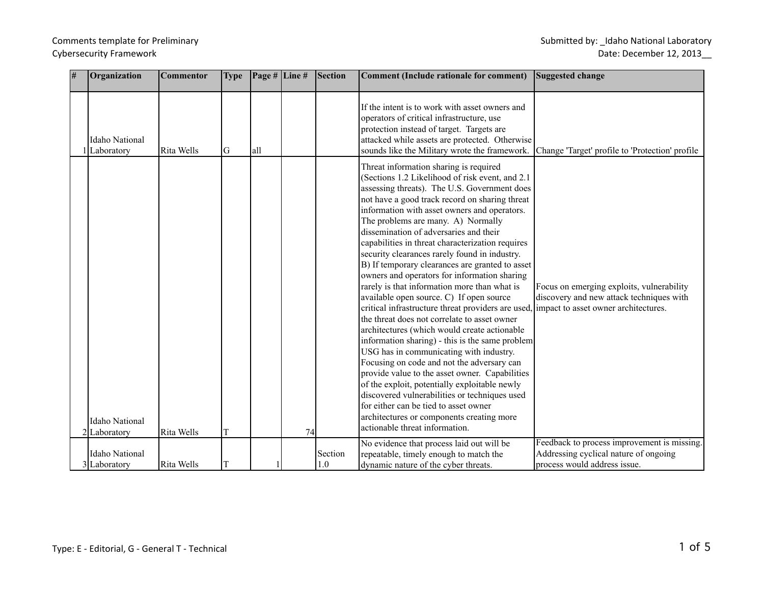# Comments template for Preliminary Submitted by: \_Idaho National Laboratory Cybersecurity Framework **Date: December 12, 2013**

| # | Organization                          | <b>Commentor</b> | <b>Type</b> | Page # Line # |    | <b>Section</b> | <b>Comment (Include rationale for comment)</b>                                                                                                                                                                                                                                                                                                                                                                                                                                                                                                                                                                                                                                                                                                                                                                                                                                                                                                                                                                                                                                                                                                                                                                 | Suggested change                                                                                                               |
|---|---------------------------------------|------------------|-------------|---------------|----|----------------|----------------------------------------------------------------------------------------------------------------------------------------------------------------------------------------------------------------------------------------------------------------------------------------------------------------------------------------------------------------------------------------------------------------------------------------------------------------------------------------------------------------------------------------------------------------------------------------------------------------------------------------------------------------------------------------------------------------------------------------------------------------------------------------------------------------------------------------------------------------------------------------------------------------------------------------------------------------------------------------------------------------------------------------------------------------------------------------------------------------------------------------------------------------------------------------------------------------|--------------------------------------------------------------------------------------------------------------------------------|
|   | <b>Idaho National</b><br>Laboratory   | Rita Wells       | lG.         | all           |    |                | If the intent is to work with asset owners and<br>operators of critical infrastructure, use<br>protection instead of target. Targets are<br>attacked while assets are protected. Otherwise<br>sounds like the Military wrote the framework.                                                                                                                                                                                                                                                                                                                                                                                                                                                                                                                                                                                                                                                                                                                                                                                                                                                                                                                                                                    | Change 'Target' profile to 'Protection' profile                                                                                |
|   | <b>Idaho National</b><br>2 Laboratory | Rita Wells       | T           |               | 74 |                | Threat information sharing is required<br>(Sections 1.2 Likelihood of risk event, and 2.1)<br>assessing threats). The U.S. Government does<br>not have a good track record on sharing threat<br>information with asset owners and operators.<br>The problems are many. A) Normally<br>dissemination of adversaries and their<br>capabilities in threat characterization requires<br>security clearances rarely found in industry.<br>B) If temporary clearances are granted to asset<br>owners and operators for information sharing<br>rarely is that information more than what is<br>available open source. C) If open source<br>critical infrastructure threat providers are used.<br>the threat does not correlate to asset owner<br>architectures (which would create actionable<br>information sharing) - this is the same problem<br>USG has in communicating with industry.<br>Focusing on code and not the adversary can<br>provide value to the asset owner. Capabilities<br>of the exploit, potentially exploitable newly<br>discovered vulnerabilities or techniques used<br>for either can be tied to asset owner<br>architectures or components creating more<br>actionable threat information. | Focus on emerging exploits, vulnerability<br>discovery and new attack techniques with<br>limpact to asset owner architectures. |
|   |                                       |                  |             |               |    |                | No evidence that process laid out will be                                                                                                                                                                                                                                                                                                                                                                                                                                                                                                                                                                                                                                                                                                                                                                                                                                                                                                                                                                                                                                                                                                                                                                      | Feedback to process improvement is missing.                                                                                    |
|   | <b>Idaho National</b><br>3 Laboratory | Rita Wells       | T           |               |    | Section<br>1.0 | repeatable, timely enough to match the<br>dynamic nature of the cyber threats.                                                                                                                                                                                                                                                                                                                                                                                                                                                                                                                                                                                                                                                                                                                                                                                                                                                                                                                                                                                                                                                                                                                                 | Addressing cyclical nature of ongoing<br>process would address issue.                                                          |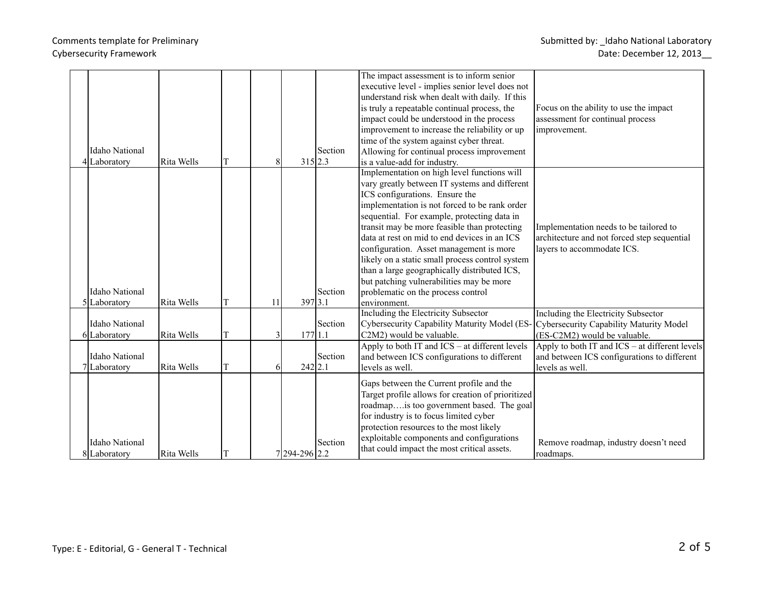| <b>Idaho National</b><br>4 Laboratory | Rita Wells | lT | 8  | 315 2.3      | Section | The impact assessment is to inform senior<br>executive level - implies senior level does not<br>understand risk when dealt with daily. If this<br>is truly a repeatable continual process, the<br>impact could be understood in the process<br>improvement to increase the reliability or up<br>time of the system against cyber threat.<br>Allowing for continual process improvement<br>is a value-add for industry.                                                                                                                                                         | Focus on the ability to use the impact<br>assessment for continual process<br>improvement.                          |
|---------------------------------------|------------|----|----|--------------|---------|--------------------------------------------------------------------------------------------------------------------------------------------------------------------------------------------------------------------------------------------------------------------------------------------------------------------------------------------------------------------------------------------------------------------------------------------------------------------------------------------------------------------------------------------------------------------------------|---------------------------------------------------------------------------------------------------------------------|
| <b>Idaho National</b><br>5 Laboratory | Rita Wells | lT | 11 | 397 3.1      | Section | Implementation on high level functions will<br>vary greatly between IT systems and different<br>ICS configurations. Ensure the<br>implementation is not forced to be rank order<br>sequential. For example, protecting data in<br>transit may be more feasible than protecting<br>data at rest on mid to end devices in an ICS<br>configuration. Asset management is more<br>likely on a static small process control system<br>than a large geographically distributed ICS,<br>but patching vulnerabilities may be more<br>problematic on the process control<br>environment. | Implementation needs to be tailored to<br>architecture and not forced step sequential<br>layers to accommodate ICS. |
| Idaho National<br>6 Laboratory        | Rita Wells | T  | 3  | $177$   1.1  | Section | <b>Including the Electricity Subsector</b><br>Cybersecurity Capability Maturity Model (ES-<br>C2M2) would be valuable.                                                                                                                                                                                                                                                                                                                                                                                                                                                         | Including the Electricity Subsector<br>Cybersecurity Capability Maturity Model<br>(ES-C2M2) would be valuable.      |
| <b>Idaho National</b><br>7 Laboratory | Rita Wells | T  | 6  | 242 2.1      | Section | Apply to both IT and ICS - at different levels<br>and between ICS configurations to different<br>levels as well.                                                                                                                                                                                                                                                                                                                                                                                                                                                               | Apply to both IT and $ICS - at$ different levels<br>and between ICS configurations to different<br>levels as well.  |
| <b>Idaho National</b><br>8 Laboratory | Rita Wells | IТ |    | 7294-296 2.2 | Section | Gaps between the Current profile and the<br>Target profile allows for creation of prioritized<br>roadmapis too government based. The goal<br>for industry is to focus limited cyber<br>protection resources to the most likely<br>exploitable components and configurations<br>that could impact the most critical assets.                                                                                                                                                                                                                                                     | Remove roadmap, industry doesn't need<br>roadmaps.                                                                  |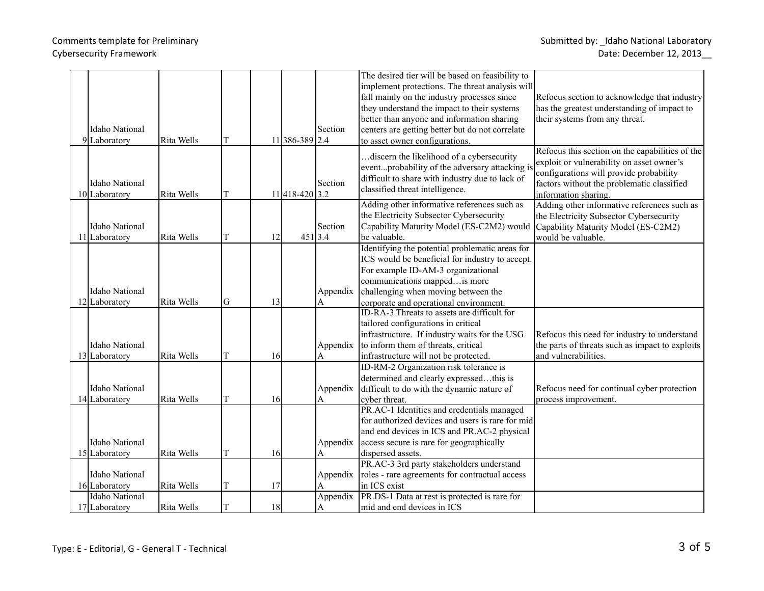|  |                       |            |    |    |                |          | The desired tier will be based on feasibility to                                            |                                                                                              |
|--|-----------------------|------------|----|----|----------------|----------|---------------------------------------------------------------------------------------------|----------------------------------------------------------------------------------------------|
|  |                       |            |    |    |                |          | implement protections. The threat analysis will                                             |                                                                                              |
|  |                       |            |    |    |                |          | fall mainly on the industry processes since                                                 | Refocus section to acknowledge that industry                                                 |
|  |                       |            |    |    |                |          | they understand the impact to their systems                                                 | has the greatest understanding of impact to                                                  |
|  |                       |            |    |    |                |          | better than anyone and information sharing                                                  | their systems from any threat.                                                               |
|  | <b>Idaho National</b> |            |    |    |                | Section  | centers are getting better but do not correlate                                             |                                                                                              |
|  | 9 Laboratory          | Rita Wells | T  |    | 11 386-389 2.4 |          | to asset owner configurations.                                                              |                                                                                              |
|  |                       |            |    |    |                |          | discern the likelihood of a cybersecurity.<br>eventprobability of the adversary attacking i | Refocus this section on the capabilities of the<br>exploit or vulnerability on asset owner's |
|  |                       |            |    |    |                |          | difficult to share with industry due to lack of                                             | configurations will provide probability                                                      |
|  | <b>Idaho National</b> |            |    |    |                | Section  | classified threat intelligence.                                                             | factors without the problematic classified                                                   |
|  | 10 Laboratory         | Rita Wells | T  |    | 11418-420 3.2  |          |                                                                                             | information sharing.                                                                         |
|  |                       |            |    |    |                |          | Adding other informative references such as                                                 | Adding other informative references such as                                                  |
|  |                       |            |    |    |                |          | the Electricity Subsector Cybersecurity                                                     | the Electricity Subsector Cybersecurity                                                      |
|  | <b>Idaho National</b> |            |    |    |                | Section  | Capability Maturity Model (ES-C2M2) would                                                   | Capability Maturity Model (ES-C2M2)                                                          |
|  | 11 Laboratory         | Rita Wells | ΙT | 12 |                | 451 3.4  | be valuable.                                                                                | would be valuable.                                                                           |
|  |                       |            |    |    |                |          | Identifying the potential problematic areas for                                             |                                                                                              |
|  |                       |            |    |    |                |          | ICS would be beneficial for industry to accept.                                             |                                                                                              |
|  |                       |            |    |    |                |          | For example ID-AM-3 organizational                                                          |                                                                                              |
|  |                       |            |    |    |                |          | communications mapped is more                                                               |                                                                                              |
|  | <b>Idaho National</b> |            |    |    |                | Appendix | challenging when moving between the                                                         |                                                                                              |
|  | 12 Laboratory         | Rita Wells | G  | 13 |                | A        | corporate and operational environment.                                                      |                                                                                              |
|  |                       |            |    |    |                |          | ID-RA-3 Threats to assets are difficult for                                                 |                                                                                              |
|  |                       |            |    |    |                |          | tailored configurations in critical                                                         |                                                                                              |
|  |                       |            |    |    |                |          | infrastructure. If industry waits for the USG                                               | Refocus this need for industry to understand                                                 |
|  | <b>Idaho National</b> |            |    |    |                | Appendix | to inform them of threats, critical                                                         | the parts of threats such as impact to exploits                                              |
|  | 13 Laboratory         | Rita Wells | T  | 16 |                | A        | infrastructure will not be protected.                                                       | and vulnerabilities.                                                                         |
|  |                       |            |    |    |                |          | ID-RM-2 Organization risk tolerance is                                                      |                                                                                              |
|  |                       |            |    |    |                |          | determined and clearly expressedthis is                                                     |                                                                                              |
|  | <b>Idaho National</b> |            |    |    |                | Appendix | difficult to do with the dynamic nature of                                                  | Refocus need for continual cyber protection                                                  |
|  | 14 Laboratory         | Rita Wells | T  | 16 |                | А        | cyber threat.                                                                               | process improvement.                                                                         |
|  |                       |            |    |    |                |          | PR.AC-1 Identities and credentials managed                                                  |                                                                                              |
|  |                       |            |    |    |                |          | for authorized devices and users is rare for mid                                            |                                                                                              |
|  |                       |            |    |    |                |          | and end devices in ICS and PR.AC-2 physical                                                 |                                                                                              |
|  | <b>Idaho National</b> |            |    |    |                | Appendix | access secure is rare for geographically                                                    |                                                                                              |
|  | 15 Laboratory         | Rita Wells | T  | 16 |                | A        | dispersed assets.                                                                           |                                                                                              |
|  |                       |            |    |    |                |          | PR.AC-3 3rd party stakeholders understand                                                   |                                                                                              |
|  | <b>Idaho National</b> |            |    |    |                | Appendix | roles - rare agreements for contractual access                                              |                                                                                              |
|  | 16 Laboratory         | Rita Wells | T  | 17 |                | A        | in ICS exist                                                                                |                                                                                              |
|  | Idaho National        |            |    |    |                | Appendix | PR.DS-1 Data at rest is protected is rare for                                               |                                                                                              |
|  | 17 Laboratory         | Rita Wells | T  | 18 |                | A        | mid and end devices in ICS                                                                  |                                                                                              |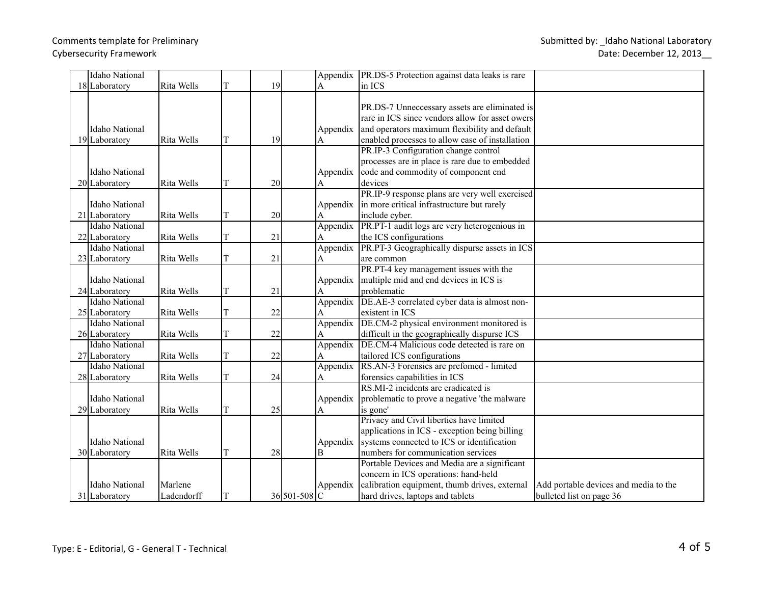| <b>Idaho National</b> |            |    |    |              |          | Appendix   PR.DS-5 Protection against data leaks is rare |                                       |
|-----------------------|------------|----|----|--------------|----------|----------------------------------------------------------|---------------------------------------|
| 18 Laboratory         | Rita Wells | T  | 19 |              | A        | in ICS                                                   |                                       |
|                       |            |    |    |              |          |                                                          |                                       |
|                       |            |    |    |              |          | PR.DS-7 Unneccessary assets are eliminated is            |                                       |
|                       |            |    |    |              |          | rare in ICS since vendors allow for asset owers          |                                       |
| <b>Idaho National</b> |            |    |    |              | Appendix | and operators maximum flexibility and default            |                                       |
| 19 Laboratory         | Rita Wells | ΙT | 19 |              | A        | enabled processes to allow ease of installation          |                                       |
|                       |            |    |    |              |          | PR.IP-3 Configuration change control                     |                                       |
|                       |            |    |    |              |          | processes are in place is rare due to embedded           |                                       |
| <b>Idaho National</b> |            |    |    |              | Appendix | code and commodity of component end                      |                                       |
| 20 Laboratory         | Rita Wells | T  | 20 |              | A        | devices                                                  |                                       |
|                       |            |    |    |              |          | PR.IP-9 response plans are very well exercised           |                                       |
| <b>Idaho National</b> |            |    |    |              | Appendix | in more critical infrastructure but rarely               |                                       |
| 21 Laboratory         | Rita Wells | ΙT | 20 |              | A        | include cyber.                                           |                                       |
| <b>Idaho National</b> |            |    |    |              | Appendix | PR.PT-1 audit logs are very heterogenious in             |                                       |
| 22 Laboratory         | Rita Wells | T  | 21 |              | A        | the ICS configurations                                   |                                       |
| <b>Idaho National</b> |            |    |    |              |          | Appendix PR.PT-3 Geographically dispurse assets in ICS   |                                       |
| 23 Laboratory         | Rita Wells | T  | 21 |              | А        | are common                                               |                                       |
|                       |            |    |    |              |          | PR.PT-4 key management issues with the                   |                                       |
| <b>Idaho National</b> |            |    |    |              | Appendix | multiple mid and end devices in ICS is                   |                                       |
| 24 Laboratory         | Rita Wells | lΤ | 21 |              | A        | problematic                                              |                                       |
| <b>Idaho National</b> |            |    |    |              | Appendix | DE.AE-3 correlated cyber data is almost non-             |                                       |
| $25$ Laboratory       | Rita Wells | T  | 22 |              | A        | existent in ICS                                          |                                       |
| <b>Idaho National</b> |            |    |    |              | Appendix | DE.CM-2 physical environment monitored is                |                                       |
| 26 Laboratory         | Rita Wells | T  | 22 |              | A        | difficult in the geographically dispurse ICS             |                                       |
| <b>Idaho National</b> |            |    |    |              | Appendix | DE.CM-4 Malicious code detected is rare on               |                                       |
| 27 Laboratory         | Rita Wells | T  | 22 |              | A        | tailored ICS configurations                              |                                       |
| <b>Idaho National</b> |            |    |    |              | Appendix | RS.AN-3 Forensics are prefomed - limited                 |                                       |
| 28 Laboratory         | Rita Wells | T  | 24 |              | A        | forensics capabilities in ICS                            |                                       |
|                       |            |    |    |              |          | RS.MI-2 incidents are eradicated is                      |                                       |
| <b>Idaho National</b> |            |    |    |              | Appendix | problematic to prove a negative 'the malware             |                                       |
| 29 Laboratory         | Rita Wells | T  | 25 |              | A        | is gone'                                                 |                                       |
|                       |            |    |    |              |          | Privacy and Civil liberties have limited                 |                                       |
|                       |            |    |    |              |          | applications in ICS - exception being billing            |                                       |
| <b>Idaho National</b> |            |    |    |              | Appendix | systems connected to ICS or identification               |                                       |
| 30 Laboratory         | Rita Wells | lΤ | 28 |              | B        | numbers for communication services                       |                                       |
|                       |            |    |    |              |          | Portable Devices and Media are a significant             |                                       |
|                       |            |    |    |              |          | concern in ICS operations: hand-held                     |                                       |
| <b>Idaho National</b> | Marlene    |    |    |              | Appendix | calibration equipment, thumb drives, external            | Add portable devices and media to the |
| 31 Laboratory         | Ladendorff | T  |    | 36 501-508 C |          | hard drives, laptops and tablets                         | bulleted list on page 36              |